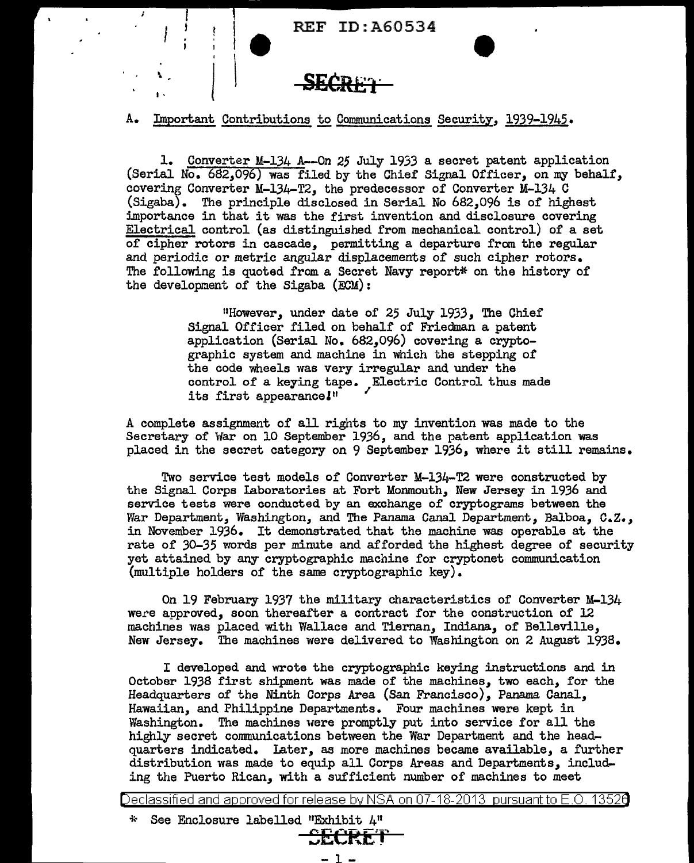**SECRE'l·** 

I•

l t

#### A. Important Contributions to Communications Security, 1939-1945.

1. Converter M-134 A--On *25* July 1933 a secret patent application (Serial No.  $682,096$ ) was filed by the Chief Signal Officer, on my behalf, covering Converter M-134-T2, the predecessor of Converter M-134 C (Sigaba). The principle disclosed in Serial No 682,096 is of highest importance in that it was the first invention and disclosure covering Electrical control (as distinguished from mechanical control) of a set of cipher rotors in cascade, permitting a departure from the regular and periodic or metric angular displacements of such cipher rotors. The following is quoted from a Secret Navy report\* on the history of the development of the Sigaba (ECM):

> <sup>11</sup>However, under date of 25 July 1933, The Chief Signal Officer filed on behalf of Friedman a patent application (Serial No. 682,096) covering a cryptographic system and machine in which the stepping of the code wheels was very irregular and under the control of a keying tape. Electric Control thus made its first appearance!"

A complete assignment of all rights to my invention was made to the Secretary of War on 10 September 1936, and the patent application was placed in the secret category on 9 September 1936, where it still remains.

Two service test models of Converter M-134-T2 were constructed by the Signal Corps Laboratories at Fort Monmouth, New Jersey in 1936 and service tests were conducted by an exchange of cryptograms between the War Department, Washington, and The Panama Canal Department, Balboa, c.z., in November 1936. It demonstrated that the machine was operable at the rate of 30-35 words per minute and afforded the highest degree of security yet attained by any cryptographic machine for cryptonet communication (multiple holders of the same cryptographic key).

On 19 February 1937 the military characteristics of Converter M-134 were approved, soon thereafter a contract for the construction of 12 machines was placed with Wallace and Tiernan, Indiana, of Belleville, New Jersey. The machines were delivered to Washington on 2 August 1938.

I developed and wrote the cryptographic keying instructions and in October 1938 first shipment was made of the machines, two each, for the Headquarters of the Ninth Corps Area (San Francisco), Panama Canal, Hawaiian, and Philippine Departments. Four machines were kept in Washington. The machines were promptly put into service for all the highly secret communications between the War Department and the headquarters indicated. Later, as more machines became available, a further distribution was made to equip all Corps Areas and Departments, including the Puerto Rican, with a sufficient number of machines to meet

Declassified and approved for release by NSA on 07-18-2013 pursuantto E .0. 1352a

i~ See Enclosure labelled "Exhibit 4<sup>11</sup>

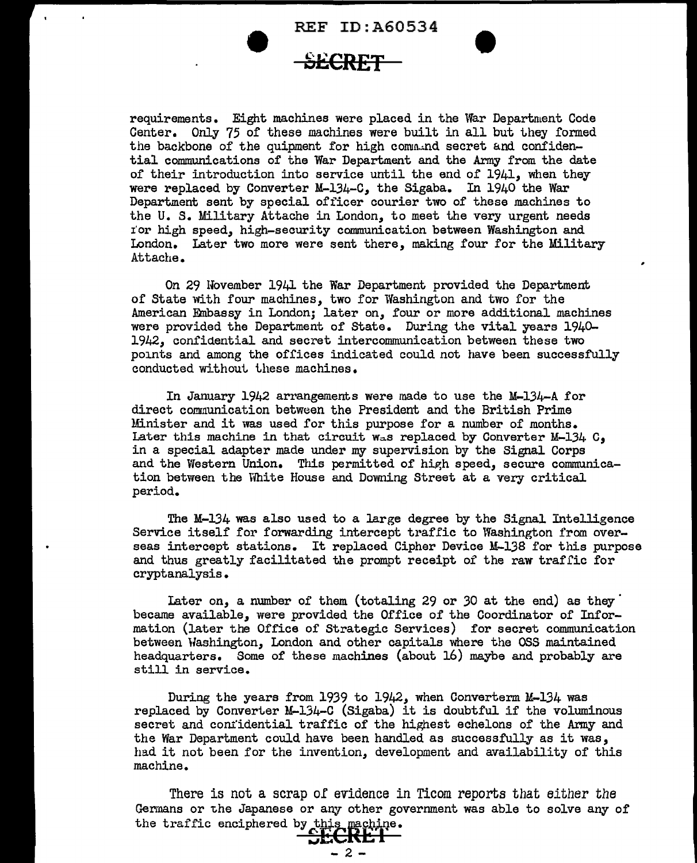REF ID:A60534 **8£CRET** •



requirements. Eight machines were placed in the \far Department Code Center. Only 75 of these machines were built in all but they formed the backbone of the quipment for high command secret and confidential communications of the War Department and the Army from the date of their introduction into service until the end of 1941, when they were replaced by Converter M-134-C, the Sigaba. In 1940 the War Department sent by special officer courier two of these machines to the U. s. Military Attache in London, to meet the very urgent needs r'or high speed, high-security conununication between Washington and London. Later two more were sent there, making four for the Military Attache.

On 29 November 1941 the War Department provided the Department of State with four machines, two for Washington and two for the American Embassy in London; later on, four or more additional machines were provided the Department of State. During the vital years 1940- 1942, confidential and secret intercommunication between these two points and among the offices indicated could not have been successfully conducted without these machines.

In January 1942 arrangements were made to use the M-134-A for direct communication between the President and the British Prime Minister and it uas used for this purpose for a number of months. Later this machine in that circuit was replaced by Converter M-134  $C_9$ in a special adapter made under my supervision by the Signal Corps and the Western Union. This permitted of high speed, secure communication between the White House and Downing Street at a very critical period.

The M-134 was also used to a large degree by the Signal Intelligence Service itself for forwarding intercept traffic to Washington from overseas intercept stations. It replaced Cipher Device M-138 for this purpose and thus greatly facilitated the prompt receipt of the raw traffic for cryptanalysis.

later on, a number of them (totaling 29 or *30* at the end) as they' became available, were provided the Office of the Coordinator of Information (later the Office of Strategic Services) for secret communication between Washington, London and other capitals where the OSS maintained headquarters. Some of these machines (about 16) maybe and probably are still in service.

During the years from 1939 to 1942, when Converterm M-134 was replaced by Converter M-134-C (Sigaba) it is doubtful if the voluminous secret and confidential traffic of the highest echelons of the Army and the War Department could have been handled as successfully as it was, had it not been for the invention, development and availability of this machine.

There is not a scrap of evidence in Ticom reports that either the Germans or the Japanese or any other government was able to solve any of the traffic enciphered by this machine.

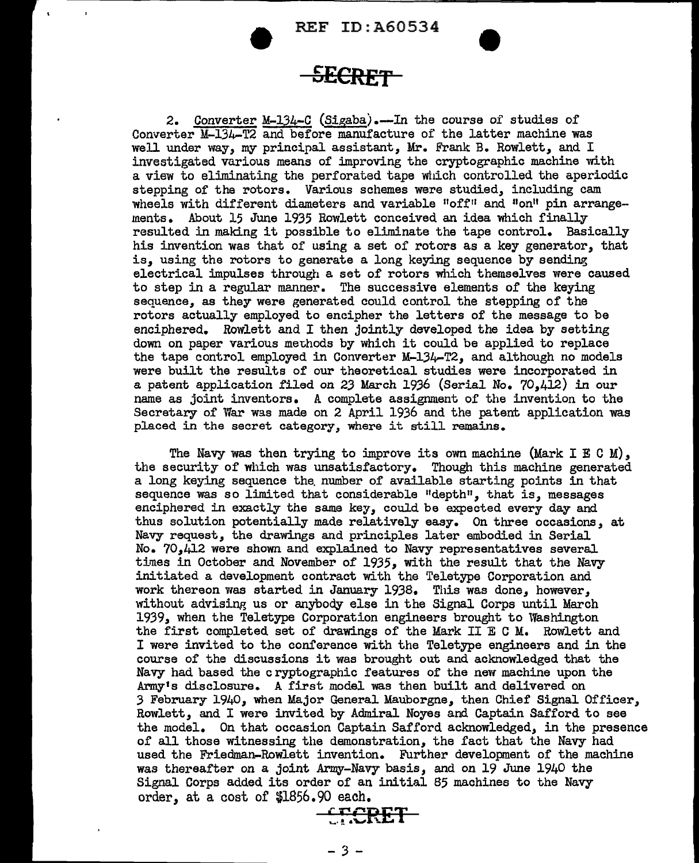**• REF ID:A60534**<br><del>**SECRET**</del>

2. Converter M-134-C (Sigaba).--In the course of studies of Converter M-134-T2 and before manufacture of the latter machine was well under way, my principal assistant, Mr. Frank B. Rowlett, and I investigated various means of improving the cryptographic machine with a view to eliminating the perforated tape which controlled the aperiodic stepping of the rotors. Various schemes were studied, including cam wheels with different diameters and variable "off" and "on" pin arrangements. About 15 June 1935 Rowlett conceived an idea which finally resulted in making it possible to eliminate the tape control. Basically his invention was that of using a set of rotors as a key generator, that is, using the rotors to generate a long keying sequence by sending electrical impulses through a set of rotors which themselves were caused to step in a regular manner. The successive elements of the keying sequence, as they were generated could control the stepping of the rotors actually employed to encipher the letters of the message to be enciphered. Rowlett and I then jointly developed the idea by setting down on paper various methods by which it could be applied to replace the tape control employed in Converter M-134-T2, and although no models were built the results of our theoretical studies were incorporated in a patent application filed on 23 March 1936 (Serial No. 70,412) in our name as joint inventors. A complete assignment of the invention to the Secretary of War was made on 2 April 1936 and the patent application was placed in the secret category, where it still remains.

The Navy was then trying to improve its own machine (Mark I E C M), the security of which was unsatisfactory. Though this machine generated a long keying sequence the. number of available starting points in that sequence was so limited that considerable "depth", that is, messages enciphered in exactly the same key, could be expected every day and thus solution potentially made relatively easy. On three occasions, at Navy request, the drawings and principles later embodied in Serial No. 70,412 were shown and explained to Navy representatives several times in October and November of 1935, with the result that the Navy initiated a development contract with the Teletype Corporation and work thereon was started in January 1938. This was done, however, without advising us or anybody else in the Signal Corps until March 1939, when the Teletype Corporation engineers brought to Washington the first completed set of drawings of the Mark II E C M. Rowlett and I were invited to the conference with the Teletype engineers and in the course of the discussions it was brought out and acknowledged that the Navy had based the cryptographic features of the new machine upon the Army's disclosure. A first model was then built and delivered on 3 February 1940, when Major General Mauborgne, then Chief Signal Officer, Rowlett, and I were invited by Admiral Noyes and Captain Safford to see the model. On that occasion Captain Safford acknowledged, in the presence of all those witnessing the demonstration, the fact that the Navy had used the Friedman-Rowlett invention. Further development of the machine was thereafter on a joint Army-Navy basis, and on 19 June 1940 the Signal Corps added its order of an initial 85 machines to the Navy order, at a cost of  $$1856.90$  each.

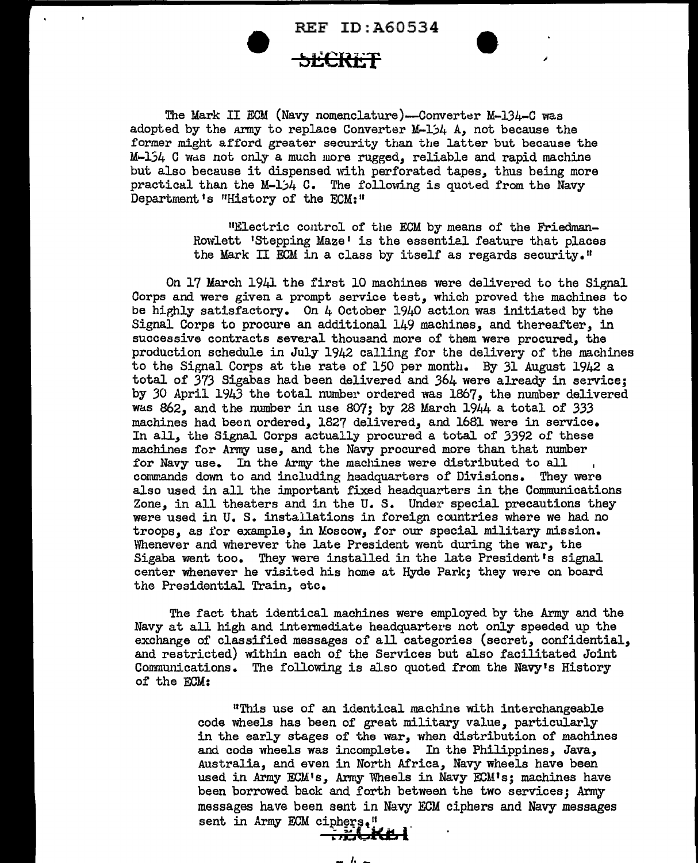#### **SECRET**

The Mark II ECM (Navy nomenclature)--Converter M-134-C was adopted by the Army to replace Converter  $M-1/4$  A, not because the former might afford greater security than the latter but because the  $M-154$  C was not only a much more rugged, reliable and rapid machine but also because it dispensed with perforated tapes, thus being more practical than the M-1 $/4$  C. The following is quoted from the Navy Department's "History of the ECM:"

> "Electric control of the ECM by means of the Friedman-Rowlett 'Stepping Maze' is the essential feature that places the Mark II ECM in a class by itself as regards security."

On 17 March 1941 the first 10 machines were delivered to the Signal Corps and were given a prompt service test, which proved the machines to be highly satisfactory. On  $4$  October 1940 action was initiated by the Signal Corps to procure an additional 149 machines, and thereafter, in successive contracts several thousand more of them were procured, the production schedule in July 1942 calling for the delivery of the machines to the Signal Corps at the rate of 150 per month. By 31 August 1942 a total of 373 Sigabas had been delivered and 364 were already in service; by *30* April 1943 the total number ordered was 1867, the number delivered was  $862$ , and the number in use  $807$ ; by 28 March  $1944$  a total of 333 machines had been ordered, 1827 delivered, and 1681 were in service. In all, the Signal Corps actually procured a total of 3392 of these machines for Army use, and the Navy procured more than that number for Navy use. In the Army the machines were distributed to all commands down to and including headquarters of Divisions. They were also used in all the important fixed headquarters in the Communications Zone, in all theaters and in the U. S. Under special precautions they were used in U. S. installations in foreign countries where we had no troops, as for example, in Moscow, for our special military mission. Whenever and wherever the late President went during the war, the Sigaba went too. They were installed in the late President's signal center whenever he visited his home at Hyde Park; they were on board the Presidential Train, etc.

The fact that identical machines were employed by the Army and the Navy at all high and intermediate headquarters not only speeded up the exchange of classified messages of all categories (secret, confidential, and restricted) within each of the Services but also facilitated Joint Communications. The following is also quoted from the Navy's History of the ECM:

> "This use of an identical machine with interchangeable code wheels has been of great military value, particularly in the early stages of the war, when distribution of machines and code wheels was incomplete. In the Philippines, Java, Australia, and even in North Africa, Navy wheels have been used in Army ECM's, Army Wheels in Navy ECM's; machines have been borrowed back and forth between the two services; Army messages have been sent in Navy ECM ciphers and Navy messages sent in Army ECM ciphers." <sup>~</sup>**,£al;;aKi!. l**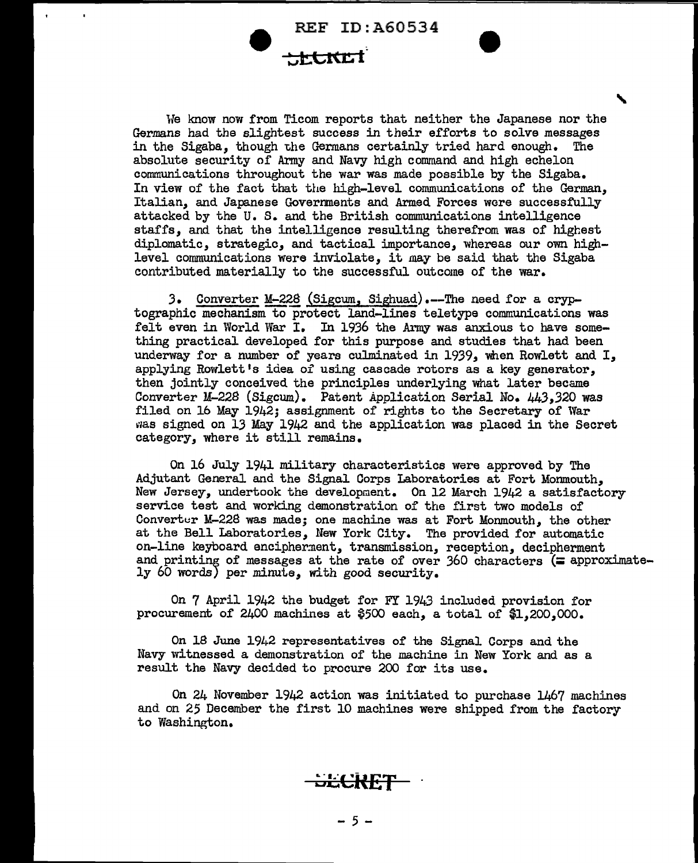## **:..,t:tltC l-**

We know now from Ticom reports that neither the Japanese nor the Germans had the slightest success in their efforts to solve messages in the Sigaba, though the Germans certainly tried hard enough. The absolute security of Army and Navy high command and high echelon communications throughout the war was made possible by the Sigaba. In view of the fact that the high-level communications of the German, Italian, and Japanese Goverrments and Armed Forces were successfully attacked by the U. S. and the British communications intelligence staffs, and that the intelligence resulting therefrom was of highest diplomatic, strategic, and tactical importance, whereas our own highlevel communications were inviolate, it may be said that the Sigaba contributed materially to the successful outcome of the war.

'

3. Converter M-228 (Sigcum, Sighuad).--The need for a cryptographic mechanism to protect land-lines teletype communications was felt even in World War I. In 1936 the Army was anxious to have something practical developed for this purpose and studies that had been underway for a number of years culminated in 1939, when Rowlett and I, applying Rowlett <sup>1</sup>s idea of using cascade rotors as a key generator, then jointly conceived the principles underlying what later became Converter M-228 (Sigcum). Patent Application Serial No. 443,320 was filed on 16 May 1942; assignment of rights to the Secretary of War was signed on 13 May 1942 and the application was placed in the Secret category, where it still remains.

On 16 July 1941 military characteristics were approved by The Adjutant General and the Signal Corps Laboratories at Fort Monmouth, New Jersey, undertook the development. On 12 March 1942 a satisfactory service test and working demonstration of the first two models of Converter M-228 was made; one machine was at Fort Monmouth, the other at the Bell Laboratories, Uew York City. The provided for automatic on-line keyboard encipherment, transmission, reception, decipherment and printing of messages at the rate of over 360 characters ( $\equiv$  approximate-ly 60 words) per minute, with good security.

On 7 April 1942 the budget for FY 1943 included provision for procurement of  $2400$  machines at  $$500$  each, a total of  $$1,200,000$ .

On  $18$  June  $1942$  representatives of the Signal Corps and the Navy witnessed a demonstration of the machine in New York and as a result the Navy decided to procure 200 for its use.

On 24 November 1942 action was initiated to purchase 1467 machines and on 25 December the first 10 machines were shipped from the factory to Washington.

<del>oči CKL (\* \*</del>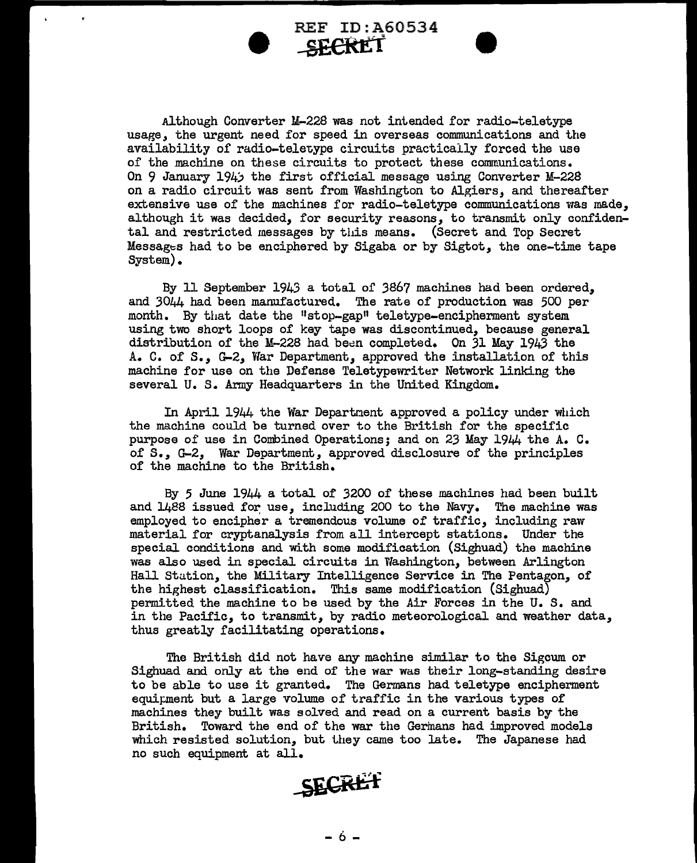

Although Converter M-228 was not intended for radio-teletype usage, the urgent need for speed in overseas communications and the availability of radio-teletype circuits practically forced the use of the machine on these circuits to protect these communications. On 9 January 194) the first official message using Converter M-228 on a radio circuit was sent from Washington to Algiers, and thereafter extensive use of the machines for radio-teletype communications was made, although it was decided, for security reasons, to transmit only confidental and restricted messages by this means. (Secret and Top Secret Messages had to be enciphered by Sigaba or by Sigtot, the one-time tape System).

By 11 September 1943 a total of 386? machines had been ordered, and 3044 had been manufactured. The rate of production was 500 per month. By that date the "stop-gap" teletype-encipherment system using two short loops of key tape was discontinued, because general distribution of the M-228 had been completed. On 31 May 1943 the A. C. of s., G-2, War Department, approved the installation of this machine for use on the Defense Teletypewriter Network linking the several U. S. Army Headquarters in the United Kingdom.

In April 1944 the War Department approved a policy under which the machine could be turned over to the British for the specific purpose of use in Combined Operations; and on 23 May 1944 the A. C. of s., G-2, War Department, approved disclosure of the principles of the machine to the British.

By 5 June 1944 a total of 3200 of these machines had been built and 1488 issued for use, including 200 to the Navy. The machine was employed to encipher a tremendous volume of traffic, including raw material for cryptanalysis from all intercept stations. Under the special conditions and with some modification (Sighuad) the machine was also used in special circuits in Washington, between Arlington Hall Station, the Military Intelligence Service in The Pentagon, of the highest classification. This same modification (Sighuad) permitted the machine to be used by the Air Forces in the U. S. and in the Pacific, to transmit, by radio meteorological and weather data, thus greatly facilitating operations.

The British did not have any machine similar to the Sigcum or Sighuad and only at the end of the war was their long-standing desire to be able to use it granted. The Germans had teletype encipherment equiµment but a large volume of traffic in the various types of machines they built was solved and read on a current basis by the British. Toward the end of the war the Germans had improved models which resisted solution, but they came too late. The Japanese had no such equipment at all.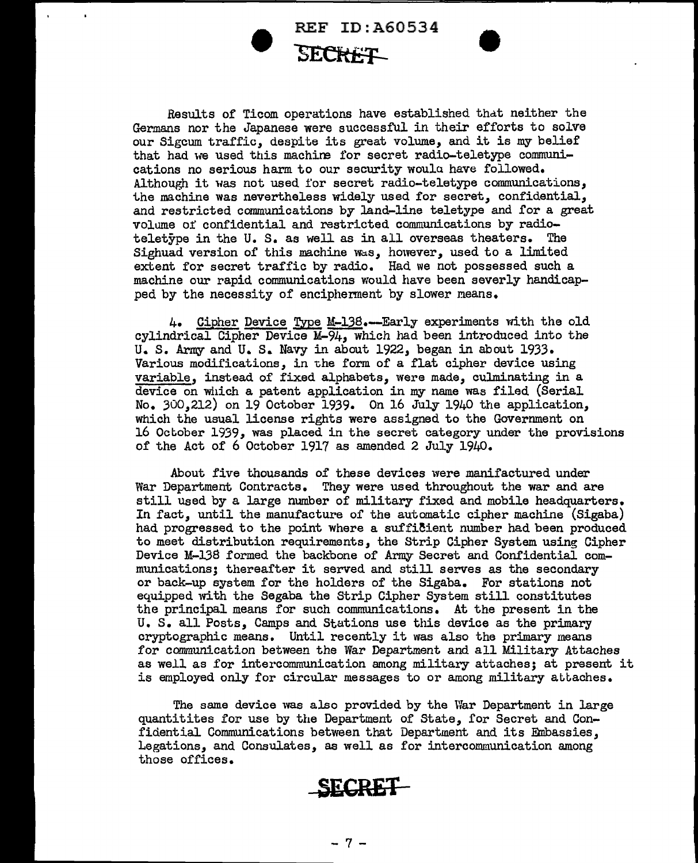

Results of Ticom operations have established that neither the Germans nor the Japanese were successful in their efforts to solve our Sigcum traffic, despite its great volume, and it is my belief that had we used this machira for secret radio-teletype communications no serious harm to our security woulu have followed. Although it was not used for secret radio-teletype communications, the machine was nevertheless widely used for secret, confidential, and restricted communications by land-line teletype and for a great volume of confidential and restricted communications by radioteletype in the U. s. as well as in all overseas theaters. The Sighuad version of this machine  $\forall$ as, however, used to a limited extent for secret traffic by radio. Had we not possessed such a machine our rapid communications would have been severly handicapped by the necessity of encipherment by slower means.

4. Cipher Device Type M-138.-Early experiments with the old cylindrical Cipher Device M-94, which had been introduced into the U. S. Army and U. S. Navy in about 1922, began in about 1933. Various modifications, in the form of a flat cipher device using variable, instead of fixed alphabets, were made, culminating in a device on which a patent application in my name was filed (Serial No. 300,212) on 19 October 1939. On 16 July 1940 the application, which the usual license rights were assigned to the Government on 16 October 1939, was placed in the secret category under the provisions of the Act of 6 October 1917 as amended 2 July 1940.

About five thousands of these devices were manifactured under War Department Contracts. They were used throughout the war and are still used by a large number of military fixed and mobile headquarters. In fact, until the manufacture of the automatic cipher machine (Sigaba) had progressed to the point where a sufficient number had been produced to meet distribution requirements, the Strip Cipher System using Cipher Device M-13\$ formed the backbone of Army Secret and Confidential communications; thereafter it served and still serves as the secondary or back-up system for the holders of the Sigaba. For stations not equipped with the Segaba the Strip Cipher System still constitutes the principal means for such communications. At the present in the U. S. all Posts, Camps and Stations use this device as the primary cryptographic means. Until recently it was also the primary means for communication between the War Department and all Military Attaches as well as for intercommunication among military attaches; at present it is employed only for circular messages to or among military attaches.

The same device was also provided by the War Department in large quantitites for use by the Department of State, for Secret and Confidential Communications between that Department and its Embassies, Legations, and Consulates, as well as for intercommunication among those offices.

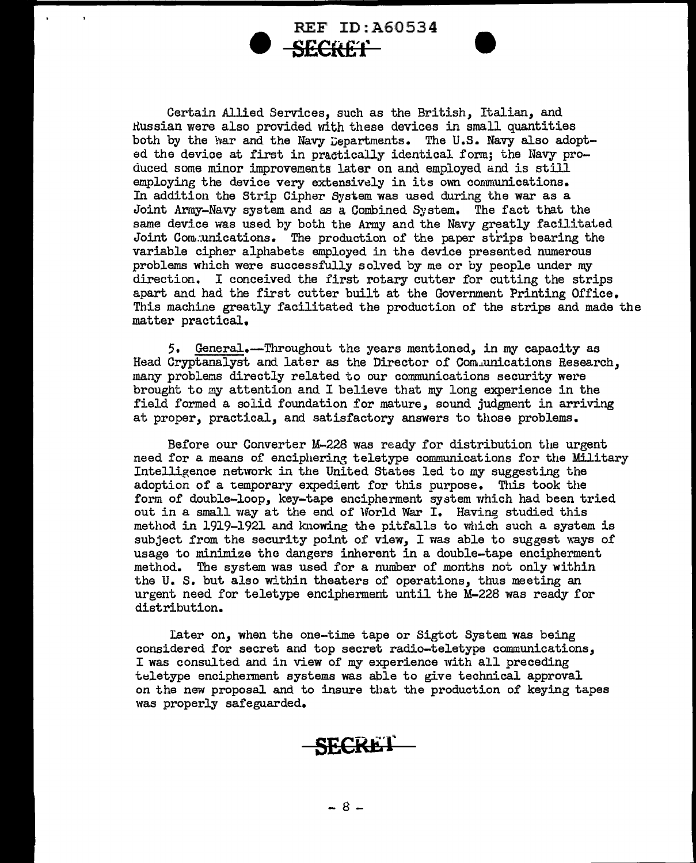• REF ID:A60534 **SECRE'f** 

Certain Allied Services, such as the British, Italian, and Russian were also provided with these devices in small quantities both by the har and the Navy Departments. The U.S. Navy also adopted the device at first in practically identical form; the Navy produced some minor improvements later on and employed and is still employing the device very extensively in its own communications. In addition the Strip Cipher System was used during the war as a Joint Army-Navy system and as a Combined System. The fact that the same device was used by both the Army and the Navy greatly facilitated Joint Com~unications. The production of the paper strips bearing the variable cipher alphabets employed in the device presented numerous problems which were successfully solved by me or by people under my direction. I conceived the first rotary cutter for cutting the strips apart and had the first cutter built at the Government Printing Office. This machine greatly facilitated the production of the strips and made the matter practical.

5. General.-Throughout the years mentioned, in my capacity as Head Cryptanalyst and later as the Director of Com.,unications Research, many problems directly related to our communications security were brought to my attention and I believe that my long experience in the field formed a solid foundation for mature, sound judgment in arriving at proper, practical, and satisfactory answers to those problems.

Before our Converter M-228 was ready for distribution the urgent need for a means of enciphering teletype communications for the Military Intelligence network in the United States led to my suggesting the adoption of a temporary expedient for this purpose. This took the form of double-loop, key-tape encipherment system which had been tried out in a small way at the end of World War I. Having studied this method in 1919-1921 and knowing the pitfalls to which such a system is subject from the security point of view, I was able to suggest ways of usage to minimize the dangers inherent in a double-tape encipherment method. The system was used for a number of months not only within the U. S. but also within theaters of operations, thus meeting an urgent need for teletype encipherment until the M-228 was ready for distribution.

Tater on, when the one-time tape or Sigtot System was being considered for secret and top secret radio-teletype communications, I was consulted and in view of my experience with all preceding teletype encipherment systems was able to give technical approval on the new proposal and to insure that the production of keying tapes was properly safeguarded.

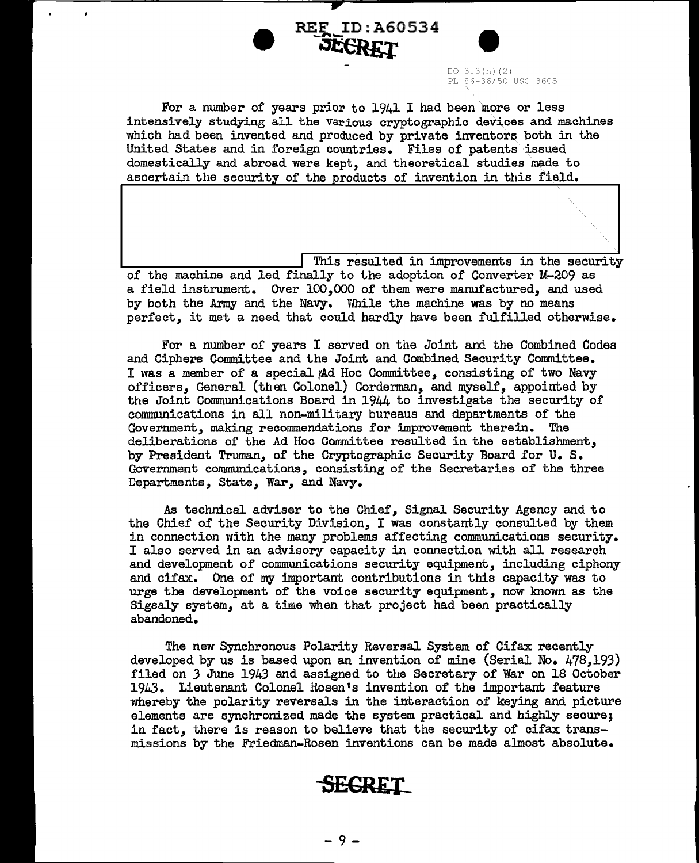# $\times$  F ID: A60534 EO 3.3(h)(2)<br>PL 86-36/50 USC 3605

For a number of years prior to  $1941$  I had been more or less intensively studying all the various cryptographic devices and machines which had been invented and produced by private inventors both in the United States and in foreign countries. Files of patents issued domestically and abroad were kept, and theoretical studies made to ascertain the security of the products of invention in this field.

REF ID: A60534

. This resulted in improvements in the security of the machine and led finally to the adoption of Converter M-209 as a field instrument. Over 100,000 of them were manufactured, and used by both the Army and the Navy. While the machine was by no means perfect, it met a need that could hardly have been fulfilled otherwise.

For a number of years I served on the Joint and the Combined Codes and Ciphers Committee and the Joint and Combined Security Committee. I was a member of a special Ad Hoc Committee, consisting of two Navy officers, General (then Colonel) Corderman, and myself, appointed by the Joint Communications Board in 1944 to investigate the security of communications in all non-military bureaus and departments of the Government, making recommendations for improvement therein. The deliberations of the Ad Hoc Committee resulted in the establishment, by President Truman, of the Cryptographic Security Board for U. s. Government communications, consisting of the Secretaries of the three Departments, State, War, and Navy.

As technical adviser to the Chief, Signal Security Agency and to the Chief of the Security Division, I was constantly consulted by them in connection with the many problems affecting communications security. I also served in an advisory capacity in connection with all research and development of communications security equipment, including ciphony and cifax. One of my important contributions in this capacity was to urge the development of the voice security equipment, now known as the Sigsaly system, at a time when that project had been practically abandoned.

The new Synchronous Polarity Reversal System of Cifax recently developed by us is based upon an invention of mine (Serial No. 478,193) filed on *3* June 1943 and assigned to the Secretary of War on 18 October 19k3. Lieutenant Colonel nosen <sup>1</sup>s invention of the important feature whereby the polarity reversals in the interaction of keying and picture elements are synchronized made the system practical and highly secure; in fact, there is reason to believe that the security of cifax transmissions by the Friedman-Rosen inventions can be made almost absolute.

### **-sECRET**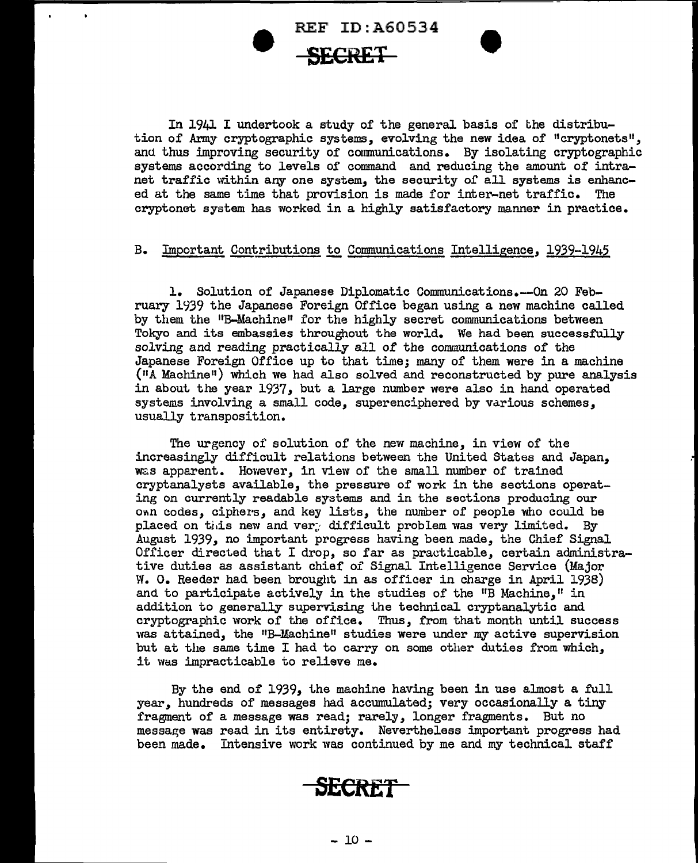In 1941 I undertook a study of the general basis of the distribution of Army cryptographic systems, evolving the new idea of "cryptonets", and thus improving security of conmunications. By isolating cryptographic systems according to levels of command and reducing the amount of intranet traffic within any one system, the security of all systems is enhanced at the same time that provision is made for inter-net traffic. The cryptonet system has worked in a highly satisfactory manner in practice.

#### B. Important Contributions to Communications Intelligence, 1939-1945

1. Solution of Japanese Diplomatic Communications.--On 20 February 1939 the Japanese Foreign Office began using a new machine called by them the 11B-Machine" for the highly secret communications between Tokyo and its embassies throughout the world. We had been successfully solving and reading practically all of the communications of the Japanese Foreign Office up to that time; many of them were in a machine ( 11A Machine <sup>11</sup> ) which we had also solved and reconstructed by pure analysis in about the year 1937, but a large number were also in hand operated systems involving a small code, superenciphered by various schemes, usually transposition.

The urgency of solution of the new macnine, in view of the increasingly difficult relations between the United States and Japan, was apparent. However, in view of the small number of trained cryptanalysts available, the pressure of work in the sections operating on currently readable systems and in the sections producing our own codes, ciphers, and key lists, the number of people who could be placed on this new and ver. difficult problem was very limited. By August 1939, no important progress having been made, the Chief Signal Officer directed that I drop, so far as practicable, certain administrative duties as assistant chief of Signal Intelligence Service (Major W. O. Reeder had been brought in as officer in charge in April 1938) and to participate actively in the studies of the "B Machine," in addition to generally supervising the technical cryptanalytic and cryptographic work of the office. Thus, from that month until success was attained, the "B-Machine" studies were under my active supervision but at the same time I had to carry on some other duties from which, it was impracticable to relieve me.

By the end of 1939, the machine having been in use almost a full year, hundreds of messages had accumulated; very occasionally a tiny fragment of a message was read; rarely, longer fragments. But no message was read in its entirety. Nevertheless important progress had been made. Intensive work was continued by me and my technical staff

#### **SECRET**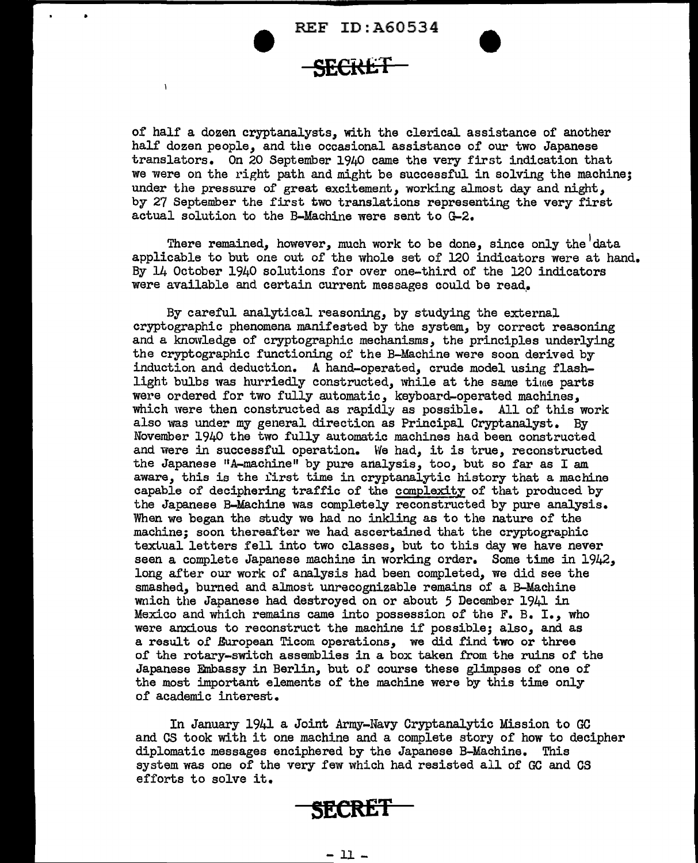$\bullet$ 

 $\mathbf{I}$ 

of half a dozen cryptanalysts, with the clerical assistance of another half dozen people, and the occasional assistance of our two Japanese translators. On 20 September 1940 came the very first indication that we were on the right path and might be successful in solving the machine; under the pressure of great excitement, working almost day and night, by 27 September the first two translations representing the very first actual solution to the B-Machine were sent to G-2.

There remained, however, much work to be done, since only the  $^\text{I}$ data applicable to but one out of the whole set of 120 indicators were at hand. By 14 October 1940 solutions for over one-third of the 120 indicators were available and certain current messages could be read.

By careful analytical reasoning, by studying the external cryptographic phenomena manifested by the system, by correct reasoning and a knowledge of cryptographic mechanisms, the principles underlying the cryptographic functioning of the B-Machine were soon derived by induction and deduction. A hand-operated, crude model using flashlight bulbs was hurriedly constructed, while at the same time parts were ordered for two fully automatic, keyboard-operated machines, which were then constructed as rapidly as possible. All of this work also was under my general direction as Principal Cryptanalyst. By November 1940 the two fully automatic machines had been constructed and were in successful operation. We had, it is true, reconstructed the Japanese "A-machine" by pure analysis, too, but so far as I am aware, this is the first time in cryptanalytic history that a machine capable of deciphering traffic of the complexity of that produced by the Japanese B-Machine was completely reconstructed by pure analysis. When we began the study we had no inkling as to the nature of the machine; soon thereafter we had ascertained that the cryptographic textual letters fell into two classes, but to this day we have never seen a complete Japanese machine in working order. Some time in 1942, long after our work of analysis had been completed, we did see the smashed, burned and almost unrecognizable remains of a B-Machine wnich the Japanese had destroyed on or about 5 December 1941 in Mexico and which remains came into possession of the F. B. I., who were anxious to reconstruct the machine if possible; also, and as a result of European Ticom operations, we did find two or three of the rotary-switch assemblies in a box taken from the ruins of the Japanese Embassy in Berlin, but or course these glimpses of one of the most important elements of the machine were by this time only of academic interest.

In January 1941 a Joint Army-Navy Cryptanalytic Mission to GC and CS took with it one machine and a complete story of how to decipher diplomatic messages enciphered by the Japanese B-Machine. This system was one of the very few which had resisted all of GC and CS efforts to solve it.

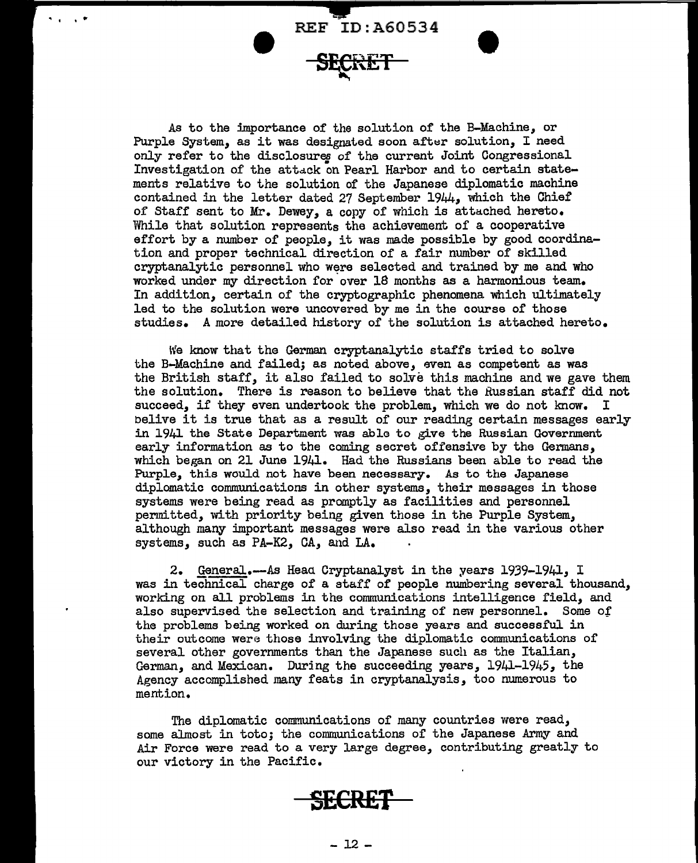.. \_ **REF ID:A60534** 

**"II** ' ' ..

As to the importance of the solution of the B-Machine, or Purple System, as it was designated soon after solution, I need only refer to the disclosureg of the current Joint Congressional Investigation of the attack on Pearl Harbor and to certain statements relative to the solution of the Japanese diplomatic machine contained in the letter dated 27 September  $1944$ , which the Chief of Staff sent to Mr. Dewey, a copy of which is attached hereto. While that solution represents the achievement of a cooperative effort by a number of people, it was made possible by good coordination and proper technical direction of a fair number of skilled cryptanalytic personnel who were selected and trained by me and who worked under my direction for over 18 months as a harmonious team. In addition, certain of the cryptographic phenomena which ultimately led to the solution were uncovered by me in the course of those studies. A more detailed history of the solution is attached hereto.

We know that the German cryptanalytic staffs tried to solve the B-Machine and failed; as noted above, even as competent as was the British staff, it also failed to solve this machine and we gave them the solution. There is reason to believe that the Russian staff did not succeed, if they even undertook the problem, which we do not know. I belive it is true that as a result of our reading certain messages early in 1941 the State Department was able to give the Russian Government early information as to the coming secret offensive by the Germans, which began on 21 June 1941. Had the Russians been able to read the Purple, this would not have been necessary. As to the Japanese diplomatic communications in other systems, their messages in those systems were being read as promptly as facilities and personnel permitted, with priority being given those in the Purple System, although many important messages were also read in the various other systems, such as PA-K2, CA, and LA.

2. GeneraJ..--As Heaa Cryptanalyst in the years 1939-1941, I was in technical charge of a staff of people numbering several thousand, working on all problems in the conununications intelligence field, and also supervised the selection and training of new personnel. Some of the problems being worked on during those years and successful in their outcome were those involving the diplomatic communications of several other governments than the Japanese such as the Italian, German, and Mexican. During the succeeding years, 1941-1945, the Agency accomplished many feats in cryptanalysis, too numerous to mention.

The diplomatic communications of many countries were read, some almost in toto; the communications of the Japanese *Army* and Air Force were read to a very large degree, contributing greatly to our victory in the Pacific.